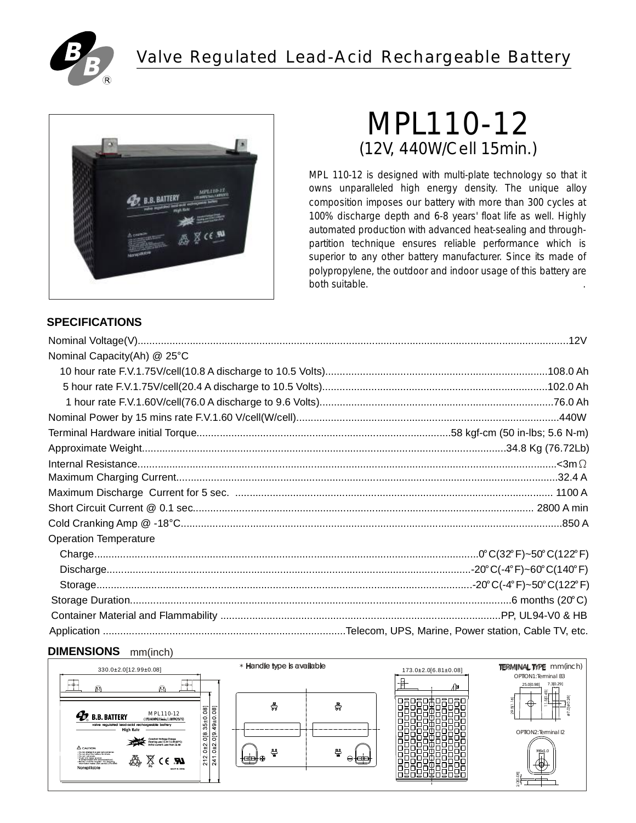

## Valve Regulated Lead-Acid Rechargeable Battery



# (12V, 440W/Cell 15min.) MPL110-12

MPL 110-12 is designed with multi-plate technology so that it owns unparalleled high energy density. The unique alloy composition imposes our battery with more than 300 cycles at 100% discharge depth and 6-8 years' float life as well. Highly automated production with advanced heat-sealing and throughpartition technique ensures reliable performance which is superior to any other battery manufacturer. Since its made of polypropylene, the outdoor and indoor usage of this battery are both suitable. .

## **SPECIFICATIONS**

| Nominal Capacity(Ah) @ 25°C  |                                                                                                                                        |
|------------------------------|----------------------------------------------------------------------------------------------------------------------------------------|
|                              |                                                                                                                                        |
|                              |                                                                                                                                        |
|                              |                                                                                                                                        |
|                              |                                                                                                                                        |
|                              |                                                                                                                                        |
|                              |                                                                                                                                        |
|                              | $\text{Internal Resistance}.\textcolor{red}{\textbf{less}}\textcolor{red}{\textbf{and}}\textcolor{red}{\Omega}\textcolor{red}{\Omega}$ |
|                              |                                                                                                                                        |
|                              |                                                                                                                                        |
|                              |                                                                                                                                        |
|                              |                                                                                                                                        |
| <b>Operation Temperature</b> |                                                                                                                                        |
|                              |                                                                                                                                        |
|                              |                                                                                                                                        |
|                              |                                                                                                                                        |
|                              |                                                                                                                                        |
|                              |                                                                                                                                        |
|                              |                                                                                                                                        |

## **DIMENSIONS** mm(inch)